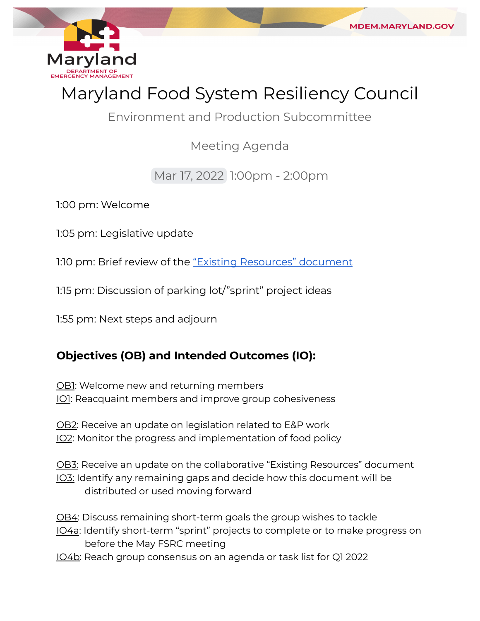

MDEM.MARYLAND.GC

Environment and Production Subcommittee

Meeting Agenda

Mar 17, 2022 1:00pm - 2:00pm

1:00 pm: Welcome

1:05 pm: Legislative update

1:10 pm: Brief review of the <u>["Existing Resources" document](https://docs.google.com/document/d/1msJHRl3h8W1mCQ_WioyzAN4Q1K2GuPE-UoZb1iB7ibg/edit?usp=sharing)</u>

1:15 pm: Discussion of parking lot/"sprint" project ideas

1:55 pm: Next steps and adjourn

## **Objectives (OB) and Intended Outcomes (IO):**

<u>OB1</u>: Welcome new and returning members <u>IO1</u>: Reacquaint members and improve group cohesiveness

<u>OB2</u>: Receive an update on legislation related to E&P work <u>IO2</u>: Monitor the progress and implementation of food policy

<u>OB3:</u> Receive an update on the collaborative "Existing Resources" document IO3: Identify any remaining gaps and decide how this document will be distributed or used moving forward

<u>OB4</u>: Discuss remaining short-term goals the group wishes to tackle

- IO4a: Identify short-term "sprint" projects to complete or to make progress on before the May FSRC meeting
- IO4b: Reach group consensus on an agenda or task list for Q1 2022